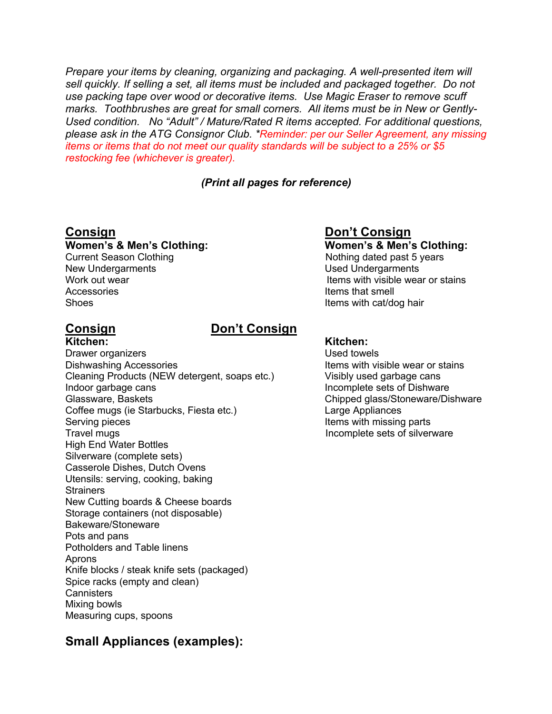*Prepare your items by cleaning, organizing and packaging. A well-presented item will sell quickly. If selling a set, all items must be included and packaged together. Do not use packing tape over wood or decorative items. Use Magic Eraser to remove scuff marks. Toothbrushes are great for small corners. All items must be in New or Gently-Used condition. No "Adult" / Mature/Rated R items accepted. For additional questions, please ask in the ATG Consignor Club. \*Reminder: per our Seller Agreement, any missing items or items that do not meet our quality standards will be subject to a 25% or \$5 restocking fee (whichever is greater).*

## *(Print all pages for reference)*

## **Women's & Men's Clothing: Women's & Men's Clothing:**

New Undergarments **New Undergarments** Accessories **Items** that smell Shoes **Items with cat/dog hair Items with cat/dog hair** 

## **Consign Don't Consign**

**Kitchen: Kitchen:** Drawer organizers Used towels Dishwashing Accessories **Items** with visible wear or stains Cleaning Products (NEW detergent, soaps etc.) Visibly used garbage cans Indoor garbage cans **Incomplete sets of Dishware** Glassware, Baskets Chipped glass/Stoneware/Dishware Coffee mugs (ie Starbucks, Fiesta etc.) Large Appliances Serving pieces **Items with missing parts Items** with missing parts Travel mugs **Incomplete** sets of silverware High End Water Bottles Silverware (complete sets) Casserole Dishes, Dutch Ovens Utensils: serving, cooking, baking **Strainers** New Cutting boards & Cheese boards Storage containers (not disposable) Bakeware/Stoneware Pots and pans Potholders and Table linens Aprons Knife blocks / steak knife sets (packaged) Spice racks (empty and clean) **Cannisters** Mixing bowls Measuring cups, spoons

## **Consign Consign Consign Consign Consign Consign Consign Consign Consign Consign Consign Consign Consign Consign Consign Consign Consign Consign Consign Consign Consign Consign Consign Consign Consign Consign Consign Consi**

Current Season Clothing Nothing Nothing dated past 5 years Work out wear **Items** with visible wear or stains

## **Small Appliances (examples):**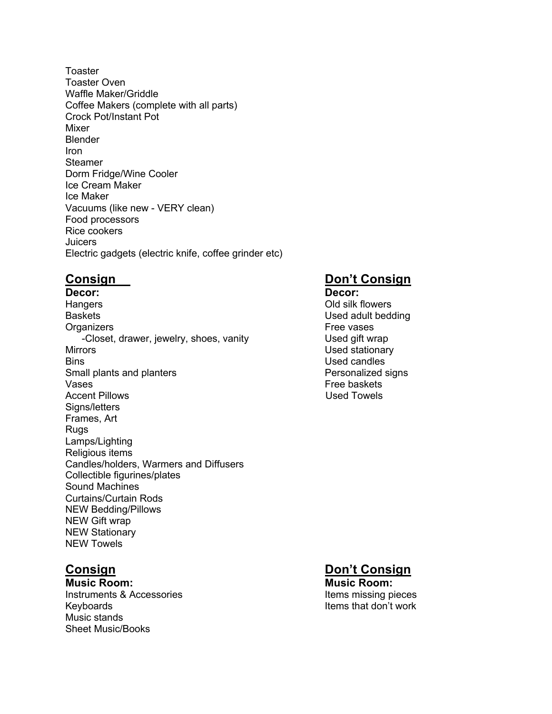Toaster Toaster Oven Waffle Maker/Griddle Coffee Makers (complete with all parts) Crock Pot/Instant Pot Mixer Blender Iron Steamer Dorm Fridge/Wine Cooler Ice Cream Maker Ice Maker Vacuums (like new - VERY clean) Food processors Rice cookers **Juicers** Electric gadgets (electric knife, coffee grinder etc)

**Decor: Decor:** Hangers Old silk flowers Baskets **Baskets Baskets Baskets Baskets Baskets Used adult bedding** Organizers **Free** vases -Closet, drawer, jewelry, shoes, vanity Used gift wrap Mirrors Used stationary Bins **Bins** Used candles Small plants and planters **Personalized signs** Vases **Free** baskets Accent Pillows **No. 2018** Used Towels Signs/letters Frames, Art Rugs Lamps/Lighting Religious items Candles/holders, Warmers and Diffusers Collectible figurines/plates Sound Machines Curtains/Curtain Rods NEW Bedding/Pillows NEW Gift wrap NEW Stationary NEW Towels

**Music Room: Music Room:** Instruments & Accessories **Instruments & Accessories Instruments & Accessories** Keyboards **Items** that don't work Music stands Sheet Music/Books

## **Consign Consign Consign Consign Consign Consign Consign Consign Consign Consign Consign Consign Consign Consign Consign Consign Consign Consign Consign Consign Consign Consign Consign Consign Consign Consign Consign Consi**

## **Consign Consign Consign Consign Consign Consign Consign Consign Consign Consign Consign Consign Consign Consign Consign Consign Consign Consign Consign Consign Consign Consign Consign Consign Consign Consign Consign Consi**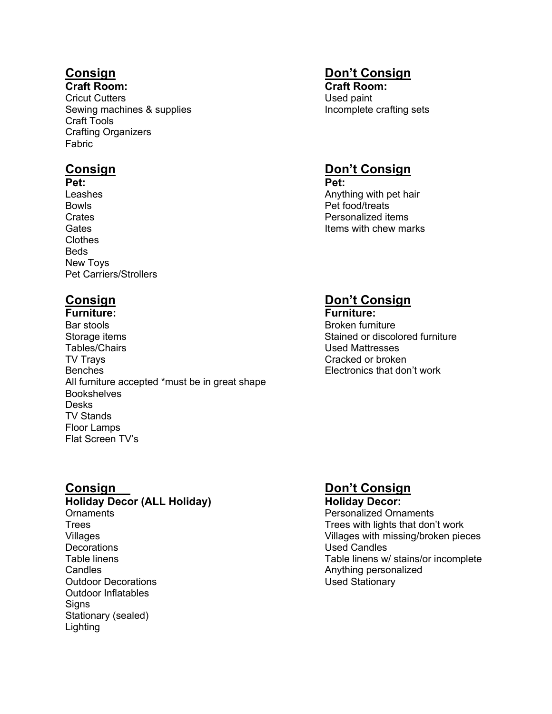**Craft Room: Craft Room:** Cricut Cutters **Used paint** Sewing machines & supplies Incomplete crafting sets Craft Tools Crafting Organizers Fabric

**Pet: Pet:** Bowls **Bowls** Crates Crates **Personalized items**<br>
Gates **Personalized items** Clothes Beds New Toys Pet Carriers/Strollers

**Furniture: Furniture:** Bar stools **Broken furniture** Broken furniture Storage items **Stained or discolored furniture** Stained or discolored furniture Tables/Chairs Used Mattresses TV Trays **Cracked or broken** Benches Electronics that don't work All furniture accepted \*must be in great shape **Bookshelves** Desks TV Stands Floor Lamps Flat Screen TV's

**Holiday Decor (ALL Holiday) Holiday Decor:** Ornaments Personalized Ornaments Trees Trees with lights that don't work Decorations **Decorations Decorations Decorations** Candles **Candles Candles Anything personalized Outdoor Decorations COVID-100 COVID-000 COVID-000 COVID-000 COVID-000 COVID-000 COVID-000 COVID-000 COVID-000** Outdoor Inflatables **Signs** Stationary (sealed) Lighting

# **Consign Don't Consign**

## **Consign Consign Consign Consign Consign Consign Consign Consign Consign Consign Consign Consign Consign Consign Consign Consign Consign Consign Consign Consign Consign Consign Consign Consign Consign Consign Consign Consi**

Leashes **Anything with pet hair Anything with pet hair** Items with chew marks

## **Consign Consign Consign Consign Consign Consign Consign Consign Consign Consign Consign Consign Consign Consign Consign Consign Consign Consign Consign Consign Consign Consign Consign Consign Consign Consign Consign Consi**

## **Consign Consign Consign Consign Consign Consign Consign Consign Consign Consign Consign Consign Consign Consign Consign Consign Consign Consign Consign Consign Consign Consign Consign Consign Consign Consign Consign Consi**

Villages Villages with missing/broken pieces Table linens Table linens w/ stains/or incomplete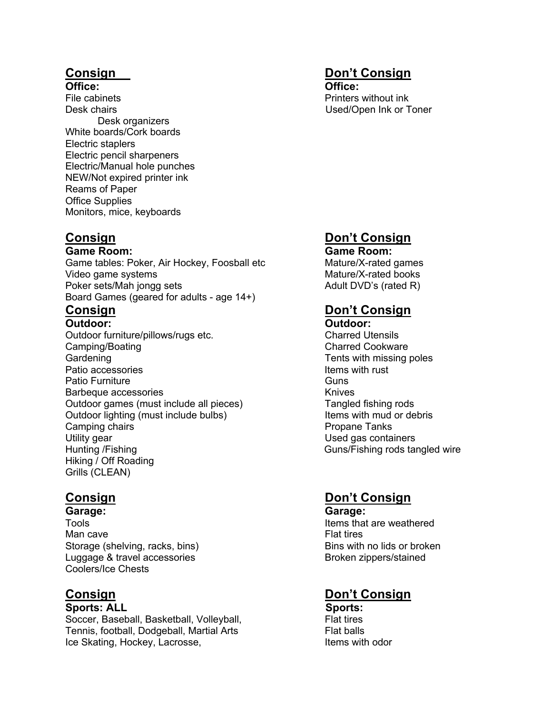**Office: Office:** File cabinets Printers without ink Desk chairs Used/Open Ink or Toner Desk organizers White boards/Cork boards Electric staplers Electric pencil sharpeners Electric/Manual hole punches NEW/Not expired printer ink Reams of Paper Office Supplies Monitors, mice, keyboards

**Game Room: Game Room:**

Game tables: Poker, Air Hockey, Foosball etc Mature/X-rated games Video game systems Mature/X-rated books Mature/X-rated books Poker sets/Mah jongg sets Adult DVD's (rated R) Board Games (geared for adults - age 14+)

**Outdoor: Outdoor:** Outdoor furniture/pillows/rugs etc. Charred Utensils Camping/Boating Camping/Boating Charred Cookware Gardening Cardening Cardening Cardening Cardening Cardening Cardening Cardening Cardening Cardening Cardening C Patio accessories **Items** with rust and the leader of the leader of the leader of the leader of the leader of the leader of the leader of the leader of the leader of the leader of the leader of the leader of the leader of Patio Furniture **Guns** Barbeque accessories and the state of the Knives Outdoor games (must include all pieces) Tangled fishing rods Outdoor lighting (must include bulbs) Items with mud or debris Camping chairs **Propane Tanks** Utility gear **Used gas containers** Used gas containers Hunting /Fishing **Guns/Fishing rods tangled wire** Hiking / Off Roading Grills (CLEAN)

Tools **The Items of the Items that are weathered** Man cave **Flat tires** Storage (shelving, racks, bins) Bins with no lids or broken Luggage & travel accessories by a settle and the Broken zippers/stained Coolers/Ice Chests

**Sports: ALL Sports:** Soccer, Baseball, Basketball, Volleyball, Flat tires Tennis, football, Dodgeball, Martial Arts Flat balls Ice Skating, Hockey, Lacrosse, Internal and Items with odor

# **Consign Don't Consign**

## **Consign Consign Consign Consign Consign Consign Consign Consign Consign Consign Consign Consign Consign Consign Consign Consign Consign Consign Consign Consign Consign Consign Consign Consign Consign Consign Consign Consi**

# **Consign Don't Consign**

## **Consign Consign Consign Consign Consign Consign Consign Consign Consign Consign Consign Consign Consign Consign Consign Consign Consign Consign Consign Consign Consign Consign Consign Consign Consign Consign Consign Consi**

**Garage: Garage:**

# **Consign Consign Consign Consign Consign Consign Consign Consign Consign Consign Consign Consign Consign Consign Consign Consign Consign Consign Consign Consign Consign Consign Consign Consign Consign Consign Consign Consi**